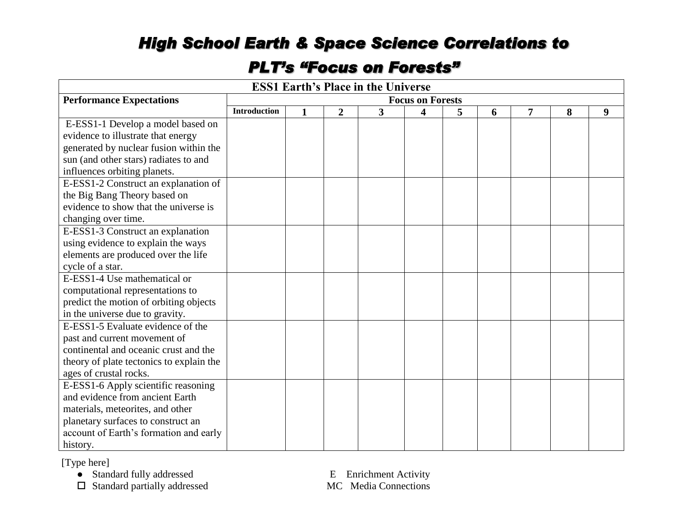## *High School Earth & Space Science Correlations to*

## *PLT's "Focus on Forests"*

| <b>ESS1 Earth's Place in the Universe</b> |                         |                                                                   |  |  |  |  |  |  |  |
|-------------------------------------------|-------------------------|-------------------------------------------------------------------|--|--|--|--|--|--|--|
| <b>Performance Expectations</b>           | <b>Focus on Forests</b> |                                                                   |  |  |  |  |  |  |  |
|                                           | <b>Introduction</b>     | 3<br>$\overline{2}$<br>4<br>5<br>8<br>9<br>$\mathbf{1}$<br>6<br>7 |  |  |  |  |  |  |  |
| E-ESS1-1 Develop a model based on         |                         |                                                                   |  |  |  |  |  |  |  |
| evidence to illustrate that energy        |                         |                                                                   |  |  |  |  |  |  |  |
| generated by nuclear fusion within the    |                         |                                                                   |  |  |  |  |  |  |  |
| sun (and other stars) radiates to and     |                         |                                                                   |  |  |  |  |  |  |  |
| influences orbiting planets.              |                         |                                                                   |  |  |  |  |  |  |  |
| E-ESS1-2 Construct an explanation of      |                         |                                                                   |  |  |  |  |  |  |  |
| the Big Bang Theory based on              |                         |                                                                   |  |  |  |  |  |  |  |
| evidence to show that the universe is     |                         |                                                                   |  |  |  |  |  |  |  |
| changing over time.                       |                         |                                                                   |  |  |  |  |  |  |  |
| E-ESS1-3 Construct an explanation         |                         |                                                                   |  |  |  |  |  |  |  |
| using evidence to explain the ways        |                         |                                                                   |  |  |  |  |  |  |  |
| elements are produced over the life       |                         |                                                                   |  |  |  |  |  |  |  |
| cycle of a star.                          |                         |                                                                   |  |  |  |  |  |  |  |
| E-ESS1-4 Use mathematical or              |                         |                                                                   |  |  |  |  |  |  |  |
| computational representations to          |                         |                                                                   |  |  |  |  |  |  |  |
| predict the motion of orbiting objects    |                         |                                                                   |  |  |  |  |  |  |  |
| in the universe due to gravity.           |                         |                                                                   |  |  |  |  |  |  |  |
| E-ESS1-5 Evaluate evidence of the         |                         |                                                                   |  |  |  |  |  |  |  |
| past and current movement of              |                         |                                                                   |  |  |  |  |  |  |  |
| continental and oceanic crust and the     |                         |                                                                   |  |  |  |  |  |  |  |
| theory of plate tectonics to explain the  |                         |                                                                   |  |  |  |  |  |  |  |
| ages of crustal rocks.                    |                         |                                                                   |  |  |  |  |  |  |  |
| E-ESS1-6 Apply scientific reasoning       |                         |                                                                   |  |  |  |  |  |  |  |
| and evidence from ancient Earth           |                         |                                                                   |  |  |  |  |  |  |  |
| materials, meteorites, and other          |                         |                                                                   |  |  |  |  |  |  |  |
| planetary surfaces to construct an        |                         |                                                                   |  |  |  |  |  |  |  |
| account of Earth's formation and early    |                         |                                                                   |  |  |  |  |  |  |  |
| history.                                  |                         |                                                                   |  |  |  |  |  |  |  |

[Type here]

 $\Box$  Standard partially addressed

● Standard fully addressed E Enrichment Activity<br>
□ Standard partially addressed MC Media Connections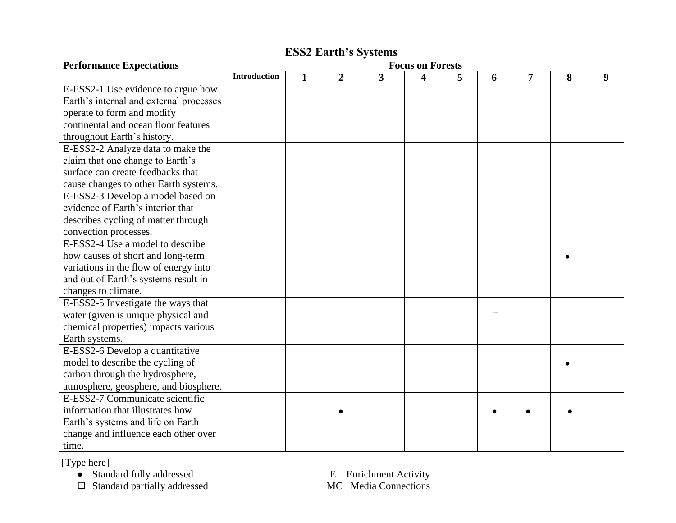| <b>ESS2 Earth's Systems</b>             |                         |              |                |                |                         |   |   |                |   |   |
|-----------------------------------------|-------------------------|--------------|----------------|----------------|-------------------------|---|---|----------------|---|---|
| <b>Performance Expectations</b>         | <b>Focus on Forests</b> |              |                |                |                         |   |   |                |   |   |
|                                         | <b>Introduction</b>     | $\mathbf{1}$ | $\overline{2}$ | $\overline{3}$ | $\overline{\mathbf{4}}$ | 5 | 6 | $\overline{7}$ | 8 | 9 |
| E-ESS2-1 Use evidence to argue how      |                         |              |                |                |                         |   |   |                |   |   |
| Earth's internal and external processes |                         |              |                |                |                         |   |   |                |   |   |
| operate to form and modify              |                         |              |                |                |                         |   |   |                |   |   |
| continental and ocean floor features    |                         |              |                |                |                         |   |   |                |   |   |
| throughout Earth's history.             |                         |              |                |                |                         |   |   |                |   |   |
| E-ESS2-2 Analyze data to make the       |                         |              |                |                |                         |   |   |                |   |   |
| claim that one change to Earth's        |                         |              |                |                |                         |   |   |                |   |   |
| surface can create feedbacks that       |                         |              |                |                |                         |   |   |                |   |   |
| cause changes to other Earth systems.   |                         |              |                |                |                         |   |   |                |   |   |
| E-ESS2-3 Develop a model based on       |                         |              |                |                |                         |   |   |                |   |   |
| evidence of Earth's interior that       |                         |              |                |                |                         |   |   |                |   |   |
| describes cycling of matter through     |                         |              |                |                |                         |   |   |                |   |   |
| convection processes.                   |                         |              |                |                |                         |   |   |                |   |   |
| E-ESS2-4 Use a model to describe        |                         |              |                |                |                         |   |   |                |   |   |
| how causes of short and long-term       |                         |              |                |                |                         |   |   |                |   |   |
| variations in the flow of energy into   |                         |              |                |                |                         |   |   |                |   |   |
| and out of Earth's systems result in    |                         |              |                |                |                         |   |   |                |   |   |
| changes to climate.                     |                         |              |                |                |                         |   |   |                |   |   |
| E-ESS2-5 Investigate the ways that      |                         |              |                |                |                         |   |   |                |   |   |
| water (given is unique physical and     |                         |              |                |                |                         |   | П |                |   |   |
| chemical properties) impacts various    |                         |              |                |                |                         |   |   |                |   |   |
| Earth systems.                          |                         |              |                |                |                         |   |   |                |   |   |
| E-ESS2-6 Develop a quantitative         |                         |              |                |                |                         |   |   |                |   |   |
| model to describe the cycling of        |                         |              |                |                |                         |   |   |                |   |   |
| carbon through the hydrosphere,         |                         |              |                |                |                         |   |   |                |   |   |
| atmosphere, geosphere, and biosphere.   |                         |              |                |                |                         |   |   |                |   |   |
| E-ESS2-7 Communicate scientific         |                         |              |                |                |                         |   |   |                |   |   |
| information that illustrates how        |                         |              |                |                |                         |   |   |                |   |   |
| Earth's systems and life on Earth       |                         |              |                |                |                         |   |   |                |   |   |
| change and influence each other over    |                         |              |                |                |                         |   |   |                |   |   |
| time.                                   |                         |              |                |                |                         |   |   |                |   |   |

[Type here]

● Standard fully addressed E Enrichment Activity

 $\square$  Standard partially addressed MC Media Connections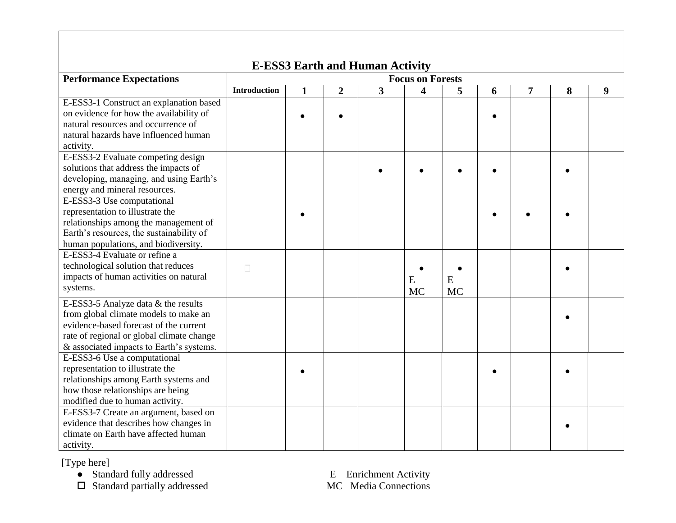| <b>E-ESS3 Earth and Human Activity</b>                                                                                                                                                                          |                         |              |                |                         |                |                |           |                |   |   |
|-----------------------------------------------------------------------------------------------------------------------------------------------------------------------------------------------------------------|-------------------------|--------------|----------------|-------------------------|----------------|----------------|-----------|----------------|---|---|
| <b>Performance Expectations</b>                                                                                                                                                                                 | <b>Focus on Forests</b> |              |                |                         |                |                |           |                |   |   |
|                                                                                                                                                                                                                 | <b>Introduction</b>     | $\mathbf{1}$ | $\overline{2}$ | $\overline{\mathbf{3}}$ | 4              | 5              | 6         | $\overline{7}$ | 8 | 9 |
| E-ESS3-1 Construct an explanation based<br>on evidence for how the availability of<br>natural resources and occurrence of<br>natural hazards have influenced human<br>activity.                                 |                         |              |                |                         |                |                | $\bullet$ |                |   |   |
| E-ESS3-2 Evaluate competing design<br>solutions that address the impacts of<br>developing, managing, and using Earth's<br>energy and mineral resources.                                                         |                         |              |                |                         |                |                |           |                |   |   |
| E-ESS3-3 Use computational<br>representation to illustrate the<br>relationships among the management of<br>Earth's resources, the sustainability of<br>human populations, and biodiversity.                     |                         |              |                |                         |                |                |           |                |   |   |
| E-ESS3-4 Evaluate or refine a<br>technological solution that reduces<br>impacts of human activities on natural<br>systems.                                                                                      | $\Box$                  |              |                |                         | E<br><b>MC</b> | E<br><b>MC</b> |           |                |   |   |
| E-ESS3-5 Analyze data & the results<br>from global climate models to make an<br>evidence-based forecast of the current<br>rate of regional or global climate change<br>& associated impacts to Earth's systems. |                         |              |                |                         |                |                |           |                |   |   |
| E-ESS3-6 Use a computational<br>representation to illustrate the<br>relationships among Earth systems and<br>how those relationships are being<br>modified due to human activity.                               |                         |              |                |                         |                |                |           |                |   |   |
| E-ESS3-7 Create an argument, based on<br>evidence that describes how changes in<br>climate on Earth have affected human<br>activity.                                                                            |                         |              |                |                         |                |                |           |                |   |   |

[Type here]

● Standard fully addressed E Enrichment Activity

 $\square$  Standard partially addressed MC Media Connections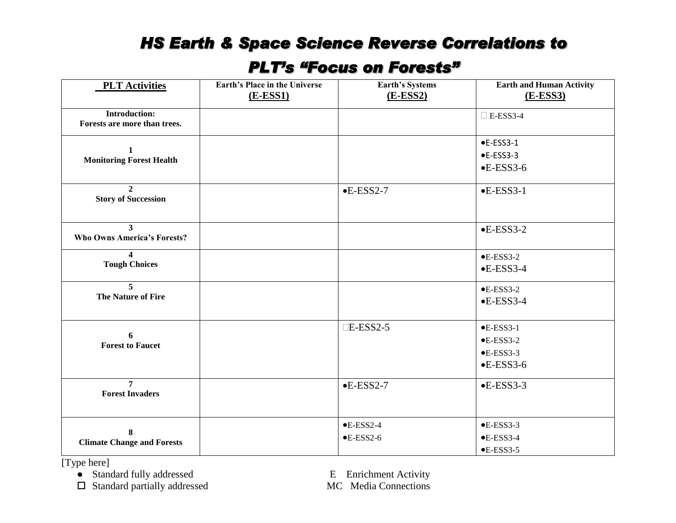## *HS Earth & Space Science Reverse Correlations to*

## *PLT's "Focus on Forests"*

| <b>PLT Activities</b>                                | <b>Earth's Place in the Universe</b><br>$(E\text{-}ESS1)$ | <b>Earth's Systems</b><br>$(E-ESS2)$ | <b>Earth and Human Activity</b><br>$(E\text{-}ESS3)$ |
|------------------------------------------------------|-----------------------------------------------------------|--------------------------------------|------------------------------------------------------|
|                                                      |                                                           |                                      |                                                      |
| <b>Introduction:</b><br>Forests are more than trees. |                                                           |                                      | $\Box$ E-ESS3-4                                      |
|                                                      |                                                           |                                      |                                                      |
|                                                      |                                                           |                                      | $\bullet$ E-ESS3-1                                   |
| 1<br><b>Monitoring Forest Health</b>                 |                                                           |                                      | $\bullet$ E-ESS3-3                                   |
|                                                      |                                                           |                                      | $-EESS3-6$                                           |
| $\mathbf{2}$<br><b>Story of Succession</b>           |                                                           | $-$ E-ESS2-7                         | $-$ E-ESS3-1                                         |
|                                                      |                                                           |                                      |                                                      |
| 3<br><b>Who Owns America's Forests?</b>              |                                                           |                                      | $-EESS3-2$                                           |
| $\boldsymbol{4}$                                     |                                                           |                                      | $-EESS3-2$                                           |
| <b>Tough Choices</b>                                 |                                                           |                                      | $-EESS3-4$                                           |
| 5                                                    |                                                           |                                      | $E$ -ESS3-2                                          |
| The Nature of Fire                                   |                                                           |                                      | $-EESS3-4$                                           |
|                                                      |                                                           | $\Box$ E-ESS2-5                      | $\bullet$ E-ESS3-1                                   |
| 6<br><b>Forest to Faucet</b>                         |                                                           |                                      | $\bullet$ E-ESS3-2                                   |
|                                                      |                                                           |                                      | $E$ -ESS3-3                                          |
|                                                      |                                                           |                                      | $-EESS3-6$                                           |
| $\overline{7}$<br><b>Forest Invaders</b>             |                                                           | $-$ E-ESS2-7                         | $-EESS3-3$                                           |
|                                                      |                                                           |                                      |                                                      |
| 8                                                    |                                                           | $E$ -ESS2-4                          | $E$ -ESS3-3                                          |
| <b>Climate Change and Forests</b>                    |                                                           | $\bullet$ E-ESS2-6                   | $-EESS3-4$                                           |
|                                                      |                                                           |                                      | $-$ E-ESS3-5                                         |

[Type here]

● Standard fully addressed E Enrichment Activity<br>
□ Standard partially addressed MC Media Connections  $\Box$  Standard partially addressed